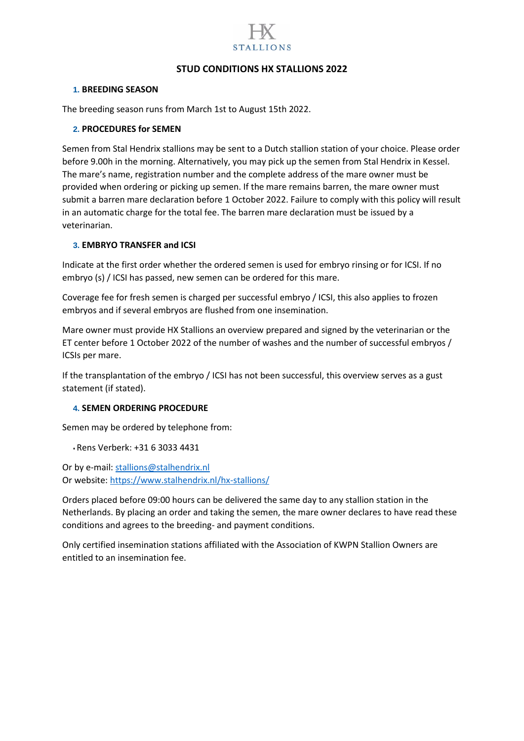

# **STUD CONDITIONS HX STALLIONS 2022**

### **1. BREEDING SEASON**

The breeding season runs from March 1st to August 15th 2022.

### **2. PROCEDURES for SEMEN**

Semen from Stal Hendrix stallions may be sent to a Dutch stallion station of your choice. Please order before 9.00h in the morning. Alternatively, you may pick up the semen from Stal Hendrix in Kessel. The mare's name, registration number and the complete address of the mare owner must be provided when ordering or picking up semen. If the mare remains barren, the mare owner must submit a barren mare declaration before 1 October 2022. Failure to comply with this policy will result in an automatic charge for the total fee. The barren mare declaration must be issued by a veterinarian.

### **3. EMBRYO TRANSFER and ICSI**

Indicate at the first order whether the ordered semen is used for embryo rinsing or for ICSI. If no embryo (s) / ICSI has passed, new semen can be ordered for this mare.

Coverage fee for fresh semen is charged per successful embryo / ICSI, this also applies to frozen embryos and if several embryos are flushed from one insemination.

Mare owner must provide HX Stallions an overview prepared and signed by the veterinarian or the ET center before 1 October 2022 of the number of washes and the number of successful embryos / ICSIs per mare.

If the transplantation of the embryo / ICSI has not been successful, this overview serves as a gust statement (if stated).

### **4. SEMEN ORDERING PROCEDURE**

Semen may be ordered by telephone from:

• Rens Verberk: +31 6 3033 4431

Or by e-mail: [stallions@stalhendrix.nl](mailto:stallions@stalhendrix.nl) Or website:<https://www.stalhendrix.nl/hx-stallions/>

Orders placed before 09:00 hours can be delivered the same day to any stallion station in the Netherlands. By placing an order and taking the semen, the mare owner declares to have read these conditions and agrees to the breeding- and payment conditions.

Only certified insemination stations affiliated with the Association of KWPN Stallion Owners are entitled to an insemination fee.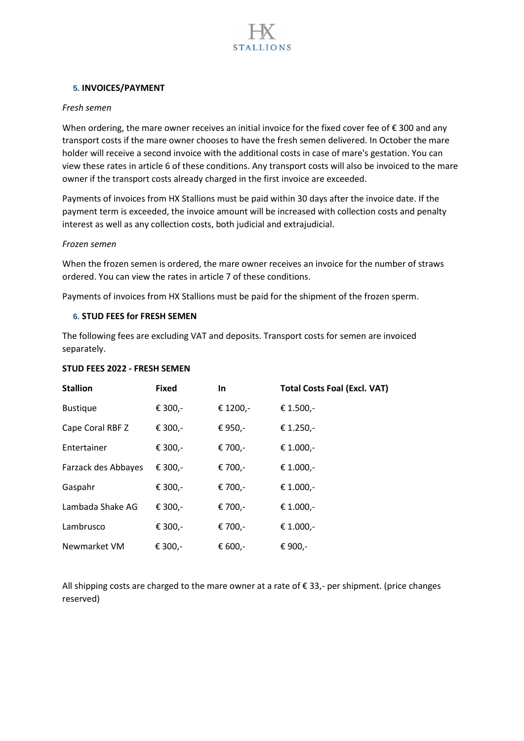

### **5. INVOICES/PAYMENT**

### *Fresh semen*

When ordering, the mare owner receives an initial invoice for the fixed cover fee of  $\epsilon$  300 and any transport costs if the mare owner chooses to have the fresh semen delivered. In October the mare holder will receive a second invoice with the additional costs in case of mare's gestation. You can view these rates in article 6 of these conditions. Any transport costs will also be invoiced to the mare owner if the transport costs already charged in the first invoice are exceeded.

Payments of invoices from HX Stallions must be paid within 30 days after the invoice date. If the payment term is exceeded, the invoice amount will be increased with collection costs and penalty interest as well as any collection costs, both judicial and extrajudicial.

#### *Frozen semen*

When the frozen semen is ordered, the mare owner receives an invoice for the number of straws ordered. You can view the rates in article 7 of these conditions.

Payments of invoices from HX Stallions must be paid for the shipment of the frozen sperm.

### **6. STUD FEES for FRESH SEMEN**

The following fees are excluding VAT and deposits. Transport costs for semen are invoiced separately.

#### **STUD FEES 2022 - FRESH SEMEN**

| <b>Stallion</b>     | <b>Fixed</b> | <b>In</b> | <b>Total Costs Foal (Excl. VAT)</b> |
|---------------------|--------------|-----------|-------------------------------------|
| <b>Bustique</b>     | € 300,-      | € 1200,-  | € 1.500,-                           |
| Cape Coral RBF Z    | € 300,-      | € 950,-   | € 1.250,-                           |
| Entertainer         | € 300,-      | € 700,-   | € 1.000,-                           |
| Farzack des Abbayes | € 300,-      | € 700,-   | € 1.000,-                           |
| Gaspahr             | € 300,-      | € 700,-   | € 1.000,-                           |
| Lambada Shake AG    | € 300,-      | € 700,-   | € 1.000,-                           |
| Lambrusco           | € 300,-      | € 700,-   | € 1.000,-                           |
| Newmarket VM        | € 300,-      | € 600,-   | € 900,-                             |

All shipping costs are charged to the mare owner at a rate of  $\epsilon$  33,- per shipment. (price changes reserved)